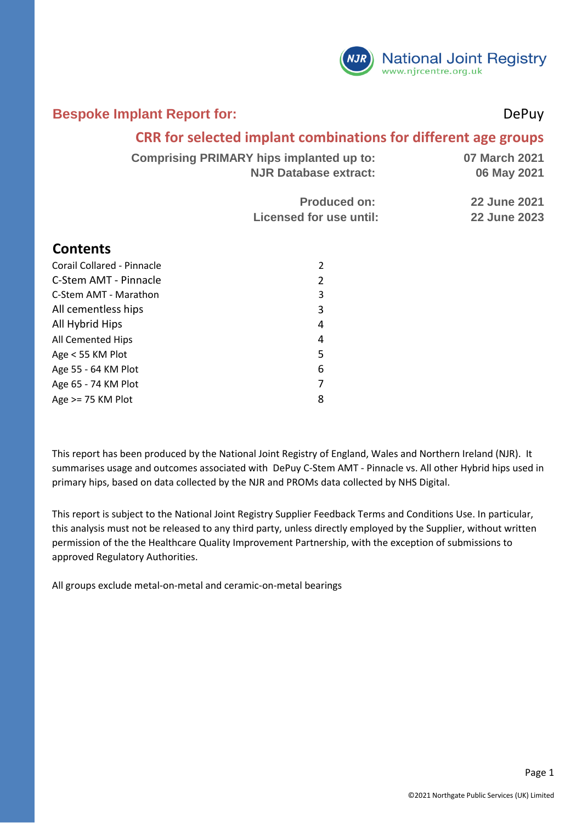

#### **Bespoke Implant Report for:** DePuy

#### **CRR for selected implant combinations for different age groups**

| <b>Comprising PRIMARY hips implanted up to:</b> | 07 March 2021       |
|-------------------------------------------------|---------------------|
| <b>NJR Database extract:</b>                    | 06 May 2021         |
| <b>Produced on:</b>                             | <b>22 June 2021</b> |
| Licensed for use until:                         | <b>22 June 2023</b> |

#### **Contents**

| Corail Collared - Pinnacle | 2 |
|----------------------------|---|
| C-Stem AMT - Pinnacle      | 2 |
| C-Stem AMT - Marathon      | 3 |
| All cementless hips        | 3 |
| All Hybrid Hips            | 4 |
| All Cemented Hips          | 4 |
| Age < 55 KM Plot           | 5 |
| Age 55 - 64 KM Plot        | 6 |
| Age 65 - 74 KM Plot        | 7 |
| Age $>= 75$ KM Plot        | 8 |

This report has been produced by the National Joint Registry of England, Wales and Northern Ireland (NJR). It summarises usage and outcomes associated with DePuy C-Stem AMT - Pinnacle vs. All other Hybrid hips used in primary hips, based on data collected by the NJR and PROMs data collected by NHS Digital.

This report is subject to the National Joint Registry Supplier Feedback Terms and Conditions Use. In particular, this analysis must not be released to any third party, unless directly employed by the Supplier, without written permission of the the Healthcare Quality Improvement Partnership, with the exception of submissions to approved Regulatory Authorities.

All groups exclude metal-on-metal and ceramic-on-metal bearings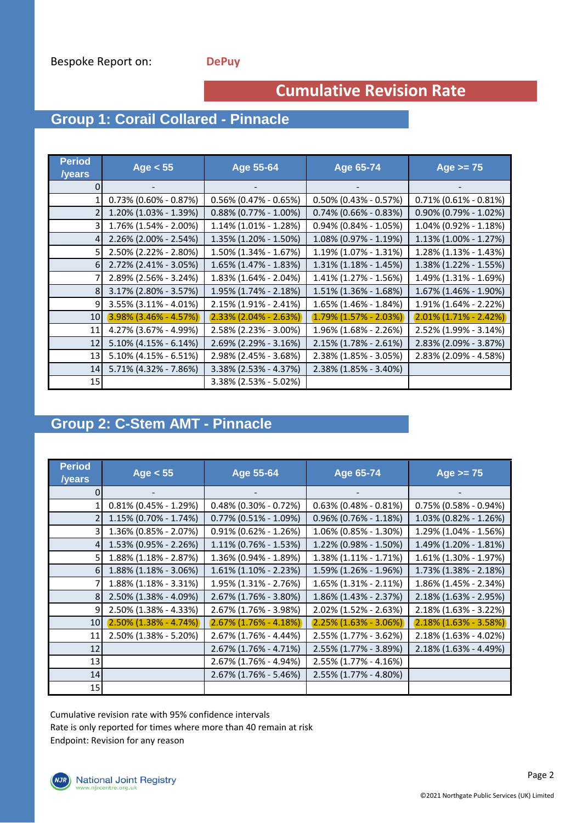### **Cumulative Revision Rate**

## **Group 1: Corail Collared - Pinnacle**

| <b>Period</b><br>/years | Age $< 55$                  | Age 55-64                    | Age 65-74                   | Age $>= 75$                 |
|-------------------------|-----------------------------|------------------------------|-----------------------------|-----------------------------|
|                         |                             |                              |                             |                             |
|                         | $0.73\%$ (0.60% - 0.87%)    | $0.56\%$ (0.47% - 0.65%)     | $0.50\%$ (0.43% - 0.57%)    | $0.71\%$ (0.61% - 0.81%)    |
|                         | 1.20% (1.03% - 1.39%)       | $0.88\%$ (0.77% - 1.00%)     | $0.74\%$ (0.66% - 0.83%)    | $0.90\%$ (0.79% - 1.02%)    |
|                         | 1.76% (1.54% - 2.00%)       | 1.14% (1.01% - 1.28%)        | $0.94\%$ (0.84% - 1.05%)    | 1.04% (0.92% - 1.18%)       |
| 4                       | 2.26% (2.00% - 2.54%)       | 1.35% (1.20% - 1.50%)        | 1.08% (0.97% - 1.19%)       | $1.13\%$ (1.00% - 1.27%)    |
|                         | 2.50% (2.22% - 2.80%)       | $1.50\%$ (1.34% - 1.67%)     | $1.19\%$ (1.07% - 1.31%)    | $1.28\%$ (1.13% - 1.43%)    |
| 61                      | 2.72% (2.41% - 3.05%)       | $1.65\%$ (1.47% - 1.83%)     | $1.31\%$ (1.18% - 1.45%)    | 1.38% (1.22% - 1.55%)       |
|                         | 2.89% (2.56% - 3.24%)       | 1.83% (1.64% - 2.04%)        | 1.41% (1.27% - 1.56%)       | 1.49% (1.31% - 1.69%)       |
|                         | 3.17% (2.80% - 3.57%)       | 1.95% (1.74% - 2.18%)        | 1.51% (1.36% - 1.68%)       | 1.67% (1.46% - 1.90%)       |
| 9                       | $3.55\%$ (3.11% - 4.01%)    | $2.15\%$ (1.91% - 2.41%)     | 1.65% (1.46% - 1.84%)       | 1.91% (1.64% - 2.22%)       |
| 10 <sup>1</sup>         | $(3.98\% (3.46\% - 4.57\%)$ | $(2.33\% (2.04\% - 2.63\%))$ | $(1.79\% (1.57\% - 2.03\%)$ | $(2.01\% (1.71\% - 2.42\%)$ |
| 11                      | 4.27% (3.67% - 4.99%)       | 2.58% (2.23% - 3.00%)        | 1.96% (1.68% - 2.26%)       | 2.52% (1.99% - 3.14%)       |
| 12                      | $5.10\%$ (4.15% - 6.14%)    | $2.69\%$ (2.29% - 3.16%)     | 2.15% (1.78% - 2.61%)       | 2.83% (2.09% - 3.87%)       |
| 13                      | $5.10\%$ (4.15% - 6.51%)    | 2.98% (2.45% - 3.68%)        | 2.38% (1.85% - 3.05%)       | 2.83% (2.09% - 4.58%)       |
| 14                      | 5.71% (4.32% - 7.86%)       | 3.38% (2.53% - 4.37%)        | 2.38% (1.85% - 3.40%)       |                             |
| 15                      |                             | 3.38% (2.53% - 5.02%)        |                             |                             |

### **Group 2: C-Stem AMT - Pinnacle**

| <b>Period</b><br>/years | Age $< 55$                   | Age 55-64                    | Age 65-74                    | Age $>= 75$                  |
|-------------------------|------------------------------|------------------------------|------------------------------|------------------------------|
|                         |                              |                              |                              |                              |
|                         | $0.81\%$ (0.45% - 1.29%)     | $0.48\%$ (0.30% - 0.72%)     | $0.63\%$ (0.48% - 0.81%)     | $0.75\%$ (0.58% - 0.94%)     |
|                         | 1.15% (0.70% - 1.74%)        | $0.77\%$ (0.51% - 1.09%)     | $0.96\%$ (0.76% - 1.18%)     | 1.03% (0.82% - 1.26%)        |
|                         | 1.36% (0.85% - 2.07%)        | $0.91\%$ (0.62% - 1.26%)     | 1.06% (0.85% - 1.30%)        | 1.29% (1.04% - 1.56%)        |
|                         | 1.53% (0.95% - 2.26%)        | $1.11\%$ (0.76% - 1.53%)     | 1.22% (0.98% - 1.50%)        | 1.49% (1.20% - 1.81%)        |
| 5                       | $1.88\%$ (1.18% - 2.87%)     | 1.36% (0.94% - 1.89%)        | 1.38% (1.11% - 1.71%)        | 1.61% (1.30% - 1.97%)        |
| 6I                      | $1.88\%$ (1.18% - 3.06%)     | $1.61\%$ (1.10% - 2.23%)     | 1.59% (1.26% - 1.96%)        | 1.73% (1.38% - 2.18%)        |
|                         | $1.88\%$ (1.18% - 3.31%)     | 1.95% (1.31% - 2.76%)        | $1.65\%$ (1.31% - 2.11%)     | 1.86% (1.45% - 2.34%)        |
| 8                       | 2.50% (1.38% - 4.09%)        | 2.67% (1.76% - 3.80%)        | 1.86% (1.43% - 2.37%)        | 2.18% (1.63% - 2.95%)        |
| 9                       | 2.50% (1.38% - 4.33%)        | 2.67% (1.76% - 3.98%)        | $2.02\%$ (1.52% - 2.63%)     | 2.18% (1.63% - 3.22%)        |
| 10                      | $(2.50\% (1.38\% - 4.74\%))$ | $(2.67\% (1.76\% - 4.18\%))$ | $(2.25\% (1.63\% - 3.06\%))$ | $(2.18\% (1.63\% - 3.58\%))$ |
| 11                      | 2.50% (1.38% - 5.20%)        | 2.67% (1.76% - 4.44%)        | 2.55% (1.77% - 3.62%)        | $2.18\%$ (1.63% - 4.02%)     |
| 12                      |                              | 2.67% (1.76% - 4.71%)        | 2.55% (1.77% - 3.89%)        | $2.18\%$ (1.63% - 4.49%)     |
| 13                      |                              | 2.67% (1.76% - 4.94%)        | $2.55\%$ (1.77% - 4.16%)     |                              |
| 14                      |                              | 2.67% (1.76% - 5.46%)        | 2.55% (1.77% - 4.80%)        |                              |
| 15                      |                              |                              |                              |                              |

Cumulative revision rate with 95% confidence intervals Rate is only reported for times where more than 40 remain at risk Endpoint: Revision for any reason

(NJR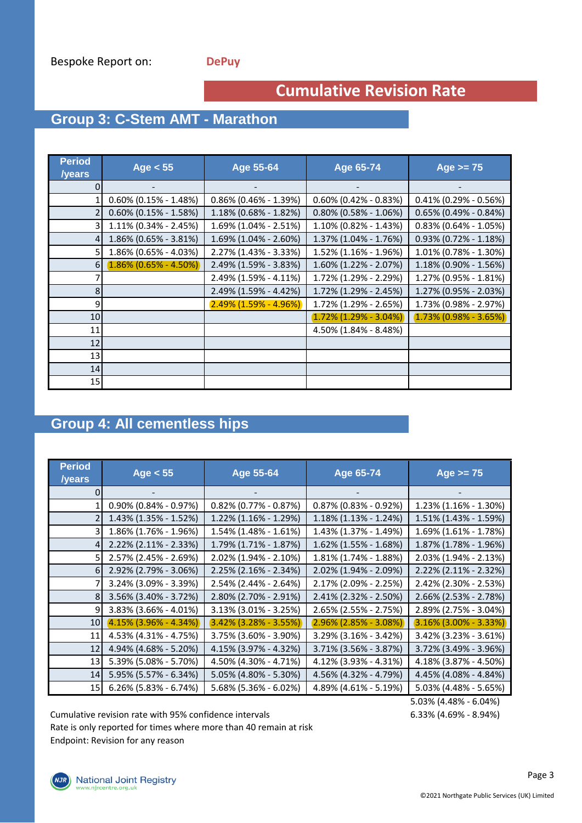## **Cumulative Revision Rate**

## **Group 3: C-Stem AMT - Marathon**

| <b>Period</b><br>/years | Age $< 55$                   | Age 55-64                    | <b>Age 65-74</b>            | Age $>= 75$                  |
|-------------------------|------------------------------|------------------------------|-----------------------------|------------------------------|
|                         |                              |                              |                             |                              |
|                         | $0.60\%$ (0.15% - 1.48%)     | $0.86\%$ (0.46% - 1.39%)     | $0.60\%$ (0.42% - 0.83%)    | $0.41\%$ (0.29% - 0.56%)     |
|                         | $0.60\%$ (0.15% - 1.58%)     | 1.18% (0.68% - 1.82%)        | $0.80\%$ (0.58% - 1.06%)    | $0.65\%$ (0.49% - 0.84%)     |
|                         | 1.11% (0.34% - 2.45%)        | 1.69% (1.04% - 2.51%)        | 1.10% (0.82% - 1.43%)       | $0.83\%$ (0.64% - 1.05%)     |
|                         | 1.86% (0.65% - 3.81%)        | $1.69\%$ (1.04% - 2.60%)     | 1.37% (1.04% - 1.76%)       | $0.93\%$ (0.72% - 1.18%)     |
|                         | 1.86% (0.65% - 4.03%)        | 2.27% (1.43% - 3.33%)        | 1.52% (1.16% - 1.96%)       | 1.01% (0.78% - 1.30%)        |
| 6                       | $(1.86\% (0.65\% - 4.50\%))$ | 2.49% (1.59% - 3.83%)        | 1.60% (1.22% - 2.07%)       | 1.18% (0.90% - 1.56%)        |
|                         |                              | 2.49% (1.59% - 4.11%)        | 1.72% (1.29% - 2.29%)       | 1.27% (0.95% - 1.81%)        |
| 8                       |                              | 2.49% (1.59% - 4.42%)        | 1.72% (1.29% - 2.45%)       | 1.27% (0.95% - 2.03%)        |
| 9                       |                              | $(2.49\% (1.59\% - 4.96\%))$ | 1.72% (1.29% - 2.65%)       | 1.73% (0.98% - 2.97%)        |
| 10                      |                              |                              | $(1.72\% (1.29\% - 3.04\%)$ | $(1.73\% (0.98\% - 3.65\%))$ |
| 11                      |                              |                              | 4.50% (1.84% - 8.48%)       |                              |
| 12                      |                              |                              |                             |                              |
| 13                      |                              |                              |                             |                              |
| 14                      |                              |                              |                             |                              |
| 15                      |                              |                              |                             |                              |

#### **Group 4: All cementless hips**

| <b>Period</b><br>/years | Age $< 55$                   | Age 55-64                   | Age 65-74                   | Age $>= 75$                  |
|-------------------------|------------------------------|-----------------------------|-----------------------------|------------------------------|
|                         |                              |                             |                             |                              |
|                         | $0.90\%$ (0.84% - 0.97%)     | $0.82\%$ (0.77% - 0.87%)    | $0.87\%$ (0.83% - 0.92%)    | 1.23% (1.16% - 1.30%)        |
|                         | $1.43\%$ (1.35% - 1.52%)     | $1.22\%$ (1.16% - 1.29%)    | $1.18\%$ (1.13% - 1.24%)    | 1.51% (1.43% - 1.59%)        |
|                         | 1.86% (1.76% - 1.96%)        | $1.54\%$ (1.48% - 1.61%)    | 1.43% (1.37% - 1.49%)       | 1.69% (1.61% - 1.78%)        |
|                         | 2.22% (2.11% - 2.33%)        | 1.79% (1.71% - 1.87%)       | 1.62% (1.55% - 1.68%)       | 1.87% (1.78% - 1.96%)        |
| 51                      | 2.57% (2.45% - 2.69%)        | 2.02% (1.94% - 2.10%)       | 1.81% (1.74% - 1.88%)       | 2.03% (1.94% - 2.13%)        |
| 6 I                     | 2.92% (2.79% - 3.06%)        | 2.25% (2.16% - 2.34%)       | 2.02% (1.94% - 2.09%)       | 2.22% (2.11% - 2.32%)        |
|                         | 3.24% (3.09% - 3.39%)        | $2.54\%$ (2.44% - 2.64%)    | 2.17% (2.09% - 2.25%)       | 2.42% (2.30% - 2.53%)        |
| 81                      | 3.56% (3.40% - 3.72%)        | 2.80% (2.70% - 2.91%)       | 2.41% (2.32% - 2.50%)       | 2.66% (2.53% - 2.78%)        |
| 9                       | $3.83\%$ (3.66% - 4.01%)     | $3.13\%$ (3.01% - 3.25%)    | $2.65\%$ (2.55% - 2.75%)    | 2.89% (2.75% - 3.04%)        |
| 10 <sup>1</sup>         | $(4.15\% (3.96\% - 4.34\%))$ | $(3.42\%)(3.28\% - 3.55\%)$ | $(2.96\% (2.85\% - 3.08\%)$ | $(3.16\% (3.00\% - 3.33\%))$ |
| 11                      | 4.53% (4.31% - 4.75%)        | 3.75% (3.60% - 3.90%)       | 3.29% (3.16% - 3.42%)       | $3.42\%$ (3.23% - 3.61%)     |
| 12                      | 4.94% (4.68% - 5.20%)        | 4.15% (3.97% - 4.32%)       | 3.71% (3.56% - 3.87%)       | 3.72% (3.49% - 3.96%)        |
| 13                      | 5.39% (5.08% - 5.70%)        | 4.50% (4.30% - 4.71%)       | 4.12% (3.93% - 4.31%)       | 4.18% (3.87% - 4.50%)        |
| 14                      | 5.95% (5.57% - 6.34%)        | 5.05% (4.80% - 5.30%)       | 4.56% (4.32% - 4.79%)       | 4.45% (4.08% - 4.84%)        |
| 15 <sub>l</sub>         | $6.26\%$ (5.83% - 6.74%)     | 5.68% (5.36% - 6.02%)       | 4.89% (4.61% - 5.19%)       | $5.03\%$ (4.48% - 5.65%)     |

Cumulative revision rate with 95% confidence intervals 6.33% (4.69% - 8.94%) Rate is only reported for times where more than 40 remain at risk Endpoint: Revision for any reason

5.03% (4.48% - 6.04%)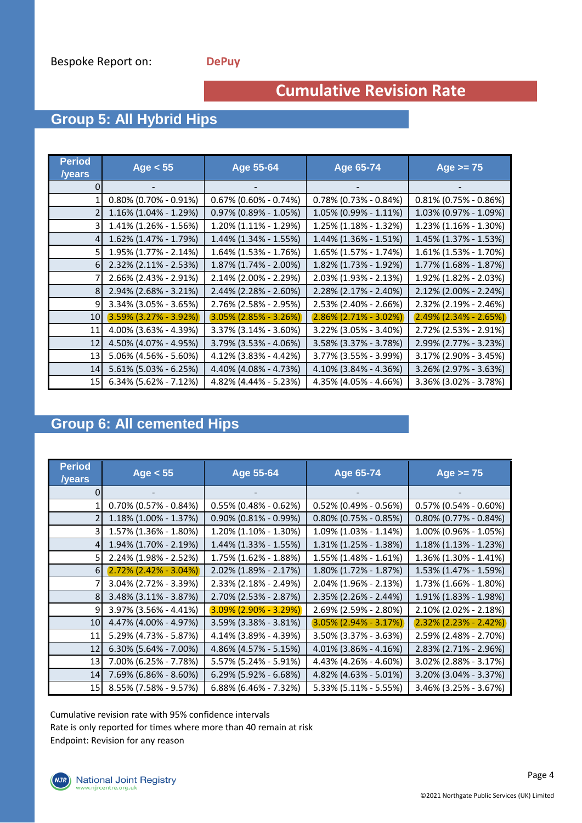## **Cumulative Revision Rate**

## **Group 5: All Hybrid Hips**

| <b>Period</b><br>/years | Age $< 55$                   | Age 55-64                    | Age 65-74                | Age $>= 75$                  |
|-------------------------|------------------------------|------------------------------|--------------------------|------------------------------|
|                         |                              |                              |                          |                              |
|                         | $0.80\%$ (0.70% - 0.91%)     | $0.67\%$ (0.60% - 0.74%)     | $0.78\%$ (0.73% - 0.84%) | $0.81\%$ (0.75% - 0.86%)     |
|                         | $1.16\%$ (1.04% - 1.29%)     | $0.97\%$ (0.89% - 1.05%)     | 1.05% (0.99% - 1.11%)    | 1.03% (0.97% - 1.09%)        |
|                         | 1.41% (1.26% - 1.56%)        | 1.20% (1.11% - 1.29%)        | 1.25% (1.18% - 1.32%)    | 1.23% (1.16% - 1.30%)        |
| 4                       | 1.62% (1.47% - 1.79%)        | $1.44\%$ (1.34% - 1.55%)     | 1.44% (1.36% - 1.51%)    | 1.45% (1.37% - 1.53%)        |
|                         | 1.95% (1.77% - 2.14%)        | $1.64\%$ (1.53% - 1.76%)     | 1.65% (1.57% - 1.74%)    | $1.61\%$ (1.53% - 1.70%)     |
| 6                       | $2.32\%$ (2.11% - 2.53%)     | 1.87% (1.74% - 2.00%)        | 1.82% (1.73% - 1.92%)    | 1.77% (1.68% - 1.87%)        |
|                         | $2.66\%$ (2.43% - 2.91%)     | 2.14% (2.00% - 2.29%)        | 2.03% (1.93% - 2.13%)    | 1.92% (1.82% - 2.03%)        |
|                         | 2.94% (2.68% - 3.21%)        | 2.44% (2.28% - 2.60%)        | 2.28% (2.17% - 2.40%)    | 2.12% (2.00% - 2.24%)        |
| 91                      | 3.34% (3.05% - 3.65%)        | 2.76% (2.58% - 2.95%)        | 2.53% (2.40% - 2.66%)    | 2.32% (2.19% - 2.46%)        |
| 10 <sup>1</sup>         | $(3.59\% (3.27\% - 3.92\%))$ | $(3.05\% (2.85\% - 3.26\%))$ | $2.86\%$ (2.71% - 3.02%) | $(2.49\% (2.34\% - 2.65\%))$ |
| 11                      | 4.00% (3.63% - 4.39%)        | 3.37% (3.14% - 3.60%)        | 3.22% (3.05% - 3.40%)    | 2.72% (2.53% - 2.91%)        |
| 12                      | 4.50% (4.07% - 4.95%)        | 3.79% (3.53% - 4.06%)        | 3.58% (3.37% - 3.78%)    | 2.99% (2.77% - 3.23%)        |
| 13                      | 5.06% (4.56% - 5.60%)        | 4.12% (3.83% - 4.42%)        | 3.77% (3.55% - 3.99%)    | 3.17% (2.90% - 3.45%)        |
| 14                      | $5.61\%$ (5.03% - 6.25%)     | 4.40% (4.08% - 4.73%)        | 4.10% (3.84% - 4.36%)    | 3.26% (2.97% - 3.63%)        |
| 15 <sub>l</sub>         | $6.34\%$ (5.62% - 7.12%)     | 4.82% (4.44% - 5.23%)        | 4.35% (4.05% - 4.66%)    | 3.36% (3.02% - 3.78%)        |

#### **Group 6: All cemented Hips**

| <b>Period</b><br><b>/years</b> | Age $< 55$                  | Age 55-64                    | Age 65-74                   | Age $>= 75$                  |
|--------------------------------|-----------------------------|------------------------------|-----------------------------|------------------------------|
|                                |                             |                              |                             |                              |
|                                | $0.70\%$ (0.57% - 0.84%)    | $0.55\%$ (0.48% - 0.62%)     | $0.52\%$ (0.49% - 0.56%)    | $0.57\%$ (0.54% - 0.60%)     |
|                                | 1.18% (1.00% - 1.37%)       | $0.90\%$ (0.81% - 0.99%)     | $0.80\%$ (0.75% - 0.85%)    | $0.80\%$ (0.77% - 0.84%)     |
|                                | 1.57% (1.36% - 1.80%)       | 1.20% (1.10% - 1.30%)        | 1.09% (1.03% - 1.14%)       | 1.00% (0.96% - 1.05%)        |
| 4                              | 1.94% (1.70% - 2.19%)       | 1.44% (1.33% - 1.55%)        | 1.31% (1.25% - 1.38%)       | $1.18\%$ (1.13% - 1.23%)     |
|                                | 2.24% (1.98% - 2.52%)       | 1.75% (1.62% - 1.88%)        | 1.55% (1.48% - 1.61%)       | 1.36% (1.30% - 1.41%)        |
| 6I                             | $(2.72\% (2.42\% - 3.04\%)$ | 2.02% (1.89% - 2.17%)        | 1.80% (1.72% - 1.87%)       | 1.53% (1.47% - 1.59%)        |
|                                | 3.04% (2.72% - 3.39%)       | 2.33% (2.18% - 2.49%)        | 2.04% (1.96% - 2.13%)       | 1.73% (1.66% - 1.80%)        |
| 8 <sup>1</sup>                 | $3.48\%$ (3.11% - 3.87%)    | 2.70% (2.53% - 2.87%)        | 2.35% (2.26% - 2.44%)       | 1.91% (1.83% - 1.98%)        |
| 9                              | $3.97\%$ (3.56% - 4.41%)    | $(3.09\% (2.90\% - 3.29\%))$ | 2.69% (2.59% - 2.80%)       | $2.10\%$ (2.02% - 2.18%)     |
| 10 <sub>1</sub>                | 4.47% (4.00% - 4.97%)       | 3.59% (3.38% - 3.81%)        | $(3.05\% (2.94\% - 3.17\%)$ | $(2.32\% (2.23\% - 2.42\%))$ |
| 11                             | 5.29% (4.73% - 5.87%)       | 4.14% (3.89% - 4.39%)        | 3.50% (3.37% - 3.63%)       | 2.59% (2.48% - 2.70%)        |
| 12                             | $6.30\%$ (5.64% - 7.00%)    | 4.86% (4.57% - 5.15%)        | 4.01% (3.86% - 4.16%)       | 2.83% (2.71% - 2.96%)        |
| 13                             | 7.00% (6.25% - 7.78%)       | 5.57% (5.24% - 5.91%)        | 4.43% (4.26% - 4.60%)       | 3.02% (2.88% - 3.17%)        |
| 14                             | 7.69% (6.86% - 8.60%)       | 6.29% (5.92% - 6.68%)        | 4.82% (4.63% - 5.01%)       | 3.20% (3.04% - 3.37%)        |
| 15                             | 8.55% (7.58% - 9.57%)       | $6.88\%$ (6.46% - 7.32%)     | 5.33% (5.11% - 5.55%)       | $3.46\%$ (3.25% - 3.67%)     |

Cumulative revision rate with 95% confidence intervals Rate is only reported for times where more than 40 remain at risk Endpoint: Revision for any reason

(NJR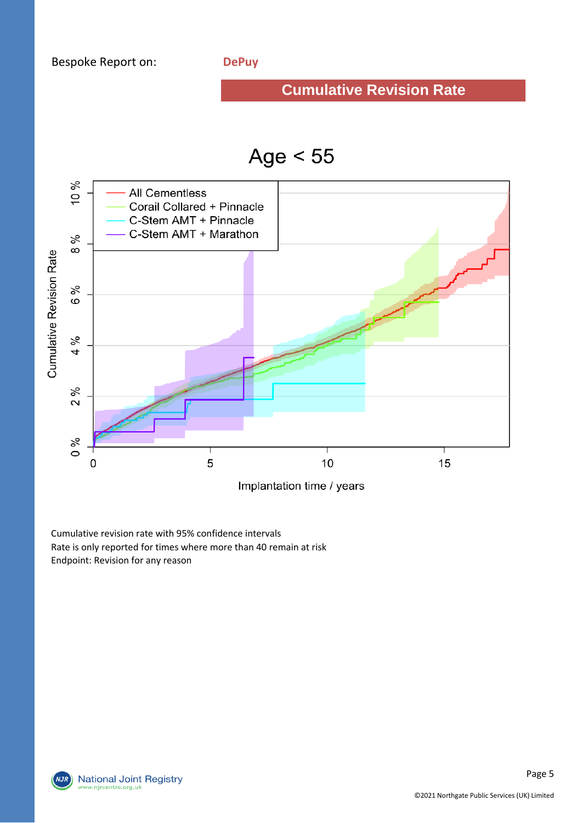#### **Cumulative Revision Rate**





Cumulative revision rate with 95% confidence intervals Rate is only reported for times where more than 40 remain at risk Endpoint: Revision for any reason

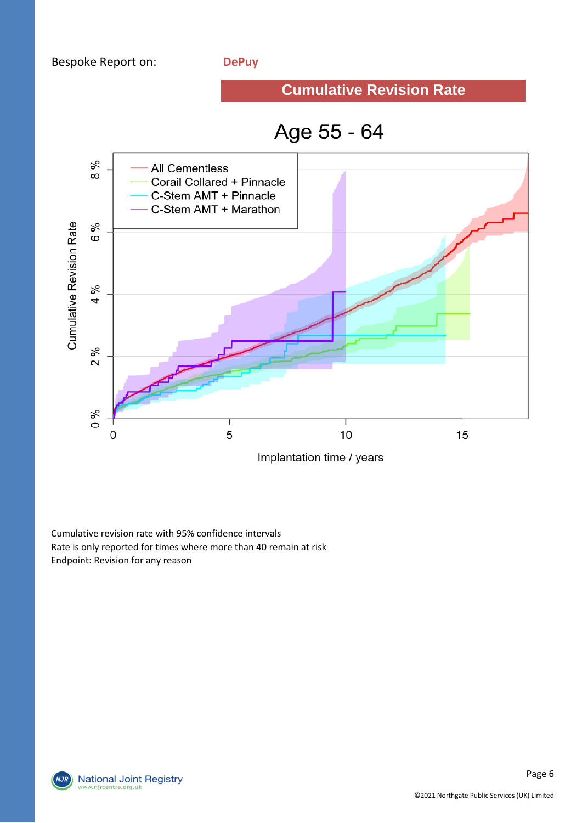#### **Cumulative Revision Rate**

# Age 55 - 64



Cumulative revision rate with 95% confidence intervals Rate is only reported for times where more than 40 remain at risk Endpoint: Revision for any reason

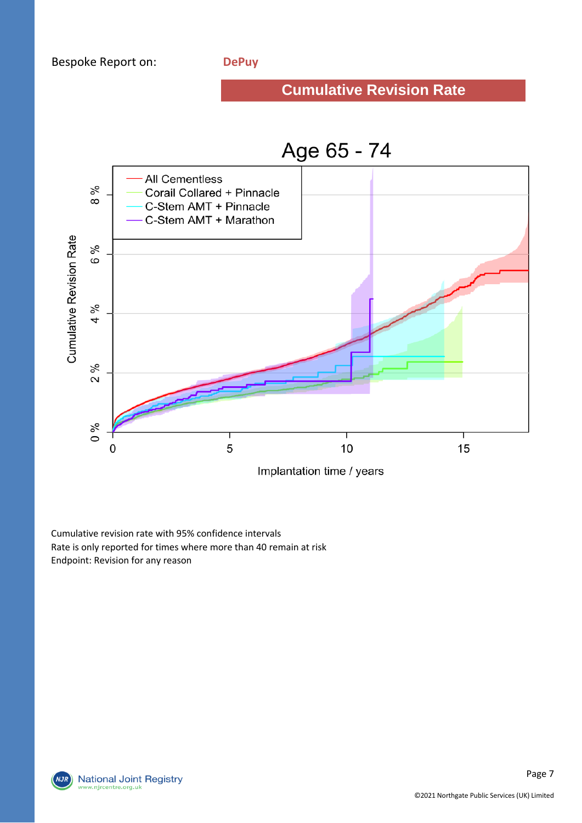#### **Cumulative Revision Rate**



Cumulative revision rate with 95% confidence intervals Rate is only reported for times where more than 40 remain at risk Endpoint: Revision for any reason

**National Joint Registry** w.njrcentre.org.uk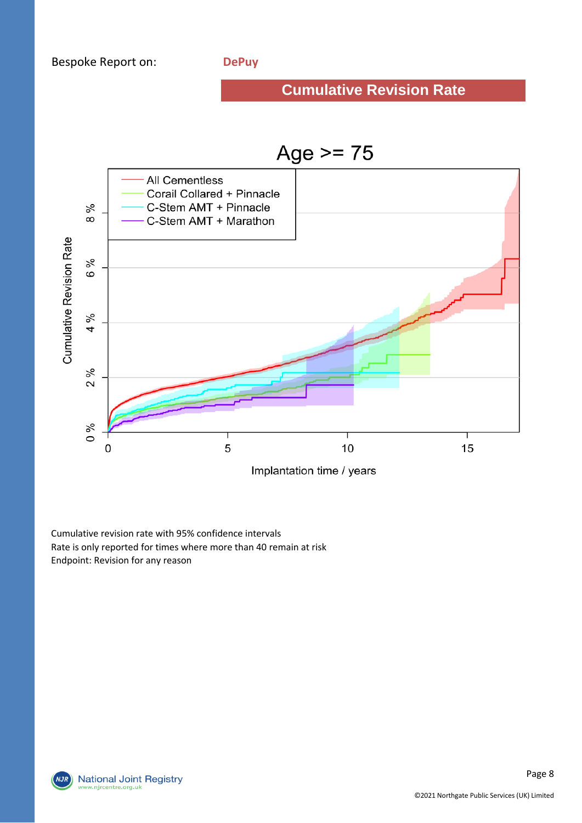# **Cumulative Revision Rate**



Cumulative revision rate with 95% confidence intervals Rate is only reported for times where more than 40 remain at risk Endpoint: Revision for any reason